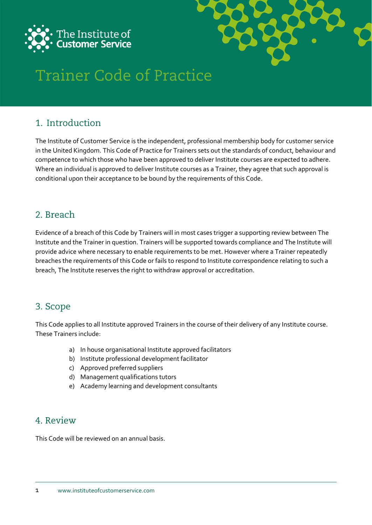



# **Trainer Code of Practice**

## 1. Introduction

The Institute of Customer Service is the independent, professional membership body for customer service in the United Kingdom. This Code of Practice for Trainers sets out the standards of conduct, behaviour and competence to which those who have been approved to deliver Institute courses are expected to adhere. Where an individual is approved to deliver Institute courses as a Trainer, they agree that such approval is conditional upon their acceptance to be bound by the requirements of this Code.

## 2. Breach

Evidence of a breach of this Code by Trainers will in most cases trigger a supporting review between The Institute and the Trainer in question. Trainers will be supported towards compliance and The Institute will provide advice where necessary to enable requirements to be met. However where a Trainer repeatedly breaches the requirements of this Code or fails to respond to Institute correspondence relating to such a breach, The Institute reserves the right to withdraw approval or accreditation.

## 3. Scope

This Code applies to all Institute approved Trainers in the course of their delivery of any Institute course. These Trainers include:

- a) In house organisational Institute approved facilitators
- b) Institute professional development facilitator
- c) Approved preferred suppliers
- d) Management qualifications tutors
- e) Academy learning and development consultants

### 4 Review

This Code will be reviewed on an annual basis.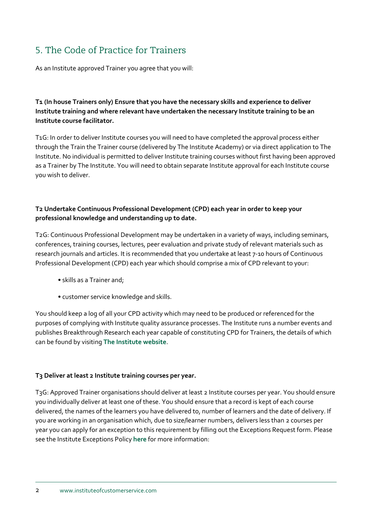# 5. The Code of Practice for Trainers

As an Institute approved Trainer you agree that you will:

#### **T1 (In house Trainers only) Ensure that you have the necessary skills and experience to deliver Institute training and where relevant have undertaken the necessary Institute training to be an Institute course facilitator.**

T1G: In order to deliver Institute courses you will need to have completed the approval process either through the Train the Trainer course (delivered by The Institute Academy) or via direct application to The Institute. No individual is permitted to deliver Institute training courses without first having been approved as a Trainer by The Institute. You will need to obtain separate Institute approval for each Institute course you wish to deliver.

#### **T2 Undertake Continuous Professional Development (CPD) each year in order to keep your professional knowledge and understanding up to date.**

T2G: Continuous Professional Development may be undertaken in a variety of ways, including seminars, conferences, training courses, lectures, peer evaluation and private study of relevant materials such as research journals and articles. It is recommended that you undertake at least 7-10 hours of Continuous Professional Development (CPD) each year which should comprise a mix of CPD relevant to your:

- skills as a Trainer and;
- customer service knowledge and skills.

You should keep a log of all your CPD activity which may need to be produced or referenced for the purposes of complying with Institute quality assurance processes. The Institute runs a number events and publishes Breakthrough Research each year capable of constituting CPD for Trainers, the details of which can be found by visiting **[The Institute website](https://www.instituteofcustomerservice.com/)**.

#### **T3 Deliver at least 2 Institute training courses per year.**

T3G: Approved Trainer organisations should deliver at least 2 Institute courses per year. You should ensure you individually deliver at least one of these. You should ensure that a record is kept of each course delivered, the names of the learners you have delivered to, number of learners and the date of delivery. If you are working in an organisation which, due to size/learner numbers, delivers less than 2 courses per year you can apply for an exception to this requirement by filling out the Exceptions Request form. Please see the Institute Exceptions Policy **[here](https://www.instituteofcustomerservice.com/media/pdf/exceptions-policy-2135.pdf)** for more information: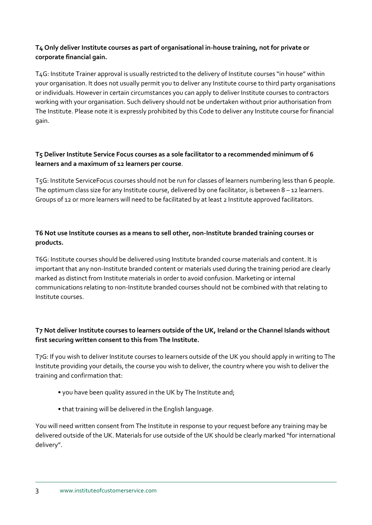#### **T4 Only deliver Institute courses as part of organisational in-house training, not for private or corporate financial gain.**

T4G: Institute Trainer approval is usually restricted to the delivery of Institute courses "in house" within your organisation. It does not usually permit you to deliver any Institute course to third party organisations or individuals. However in certain circumstances you can apply to deliver Institute courses to contractors working with your organisation. Such delivery should not be undertaken without prior authorisation from The Institute. Please note it is expressly prohibited by this Code to deliver any Institute course for financial gain.

#### **T5 Deliver Institute Service Focus courses as a sole facilitator to a recommended minimum of 6 learners and a maximum of 12 learners per course**.

T5G: Institute ServiceFocus courses should not be run for classes of learners numbering less than 6 people. The optimum class size for any Institute course, delivered by one facilitator, is between  $8 - 12$  learners. Groups of 12 or more learners will need to be facilitated by at least 2 Institute approved facilitators.

#### **T6 Not use Institute courses as a means to sell other, non-Institute branded training courses or products.**

T6G: Institute courses should be delivered using Institute branded course materials and content. It is important that any non-Institute branded content or materials used during the training period are clearly marked as distinct from Institute materials in order to avoid confusion. Marketing or internal communications relating to non-Institute branded courses should not be combined with that relating to Institute courses.

#### **T7 Not deliver Institute courses to learners outside of the UK, Ireland or the Channel Islands without first securing written consent to this from The Institute.**

T7G: If you wish to deliver Institute courses to learners outside of the UK you should apply in writing to The Institute providing your details, the course you wish to deliver, the country where you wish to deliver the training and confirmation that:

- you have been quality assured in the UK by The Institute and;
- that training will be delivered in the English language.

You will need written consent from The Institute in response to your request before any training may be delivered outside of the UK. Materials for use outside of the UK should be clearly marked "for international delivery".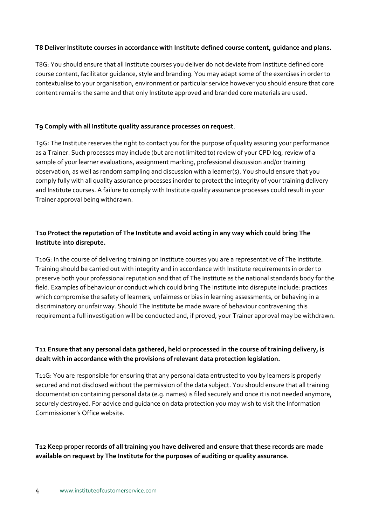#### **T8 Deliver Institute courses in accordance with Institute defined course content, guidance and plans.**

T8G: You should ensure that all Institute courses you deliver do not deviate from Institute defined core course content, facilitator guidance, style and branding. You may adapt some of the exercises in order to contextualise to your organisation, environment or particular service however you should ensure that core content remains the same and that only Institute approved and branded core materials are used.

#### **T9 Comply with all Institute quality assurance processes on request**.

T9G: The Institute reserves the right to contact you for the purpose of quality assuring your performance as a Trainer. Such processes may include (but are not limited to) review of your CPD log, review of a sample of your learner evaluations, assignment marking, professional discussion and/or training observation, as well as random sampling and discussion with a learner(s). You should ensure that you comply fully with all quality assurance processes inorder to protect the integrity of your training delivery and Institute courses. A failure to comply with Institute quality assurance processes could result in your Trainer approval being withdrawn.

#### **T10 Protect the reputation of The Institute and avoid acting in any way which could bring The Institute into disrepute.**

T10G: In the course of delivering training on Institute courses you are a representative of The Institute. Training should be carried out with integrity and in accordance with Institute requirements in order to preserve both your professional reputation and that of The Institute as the national standards body for the field. Examples of behaviour or conduct which could bring The Institute into disrepute include: practices which compromise the safety of learners, unfairness or bias in learning assessments, or behaving in a discriminatory or unfair way. Should The Institute be made aware of behaviour contravening this requirement a full investigation will be conducted and, if proved, your Trainer approval may be withdrawn.

#### **T11 Ensure that any personal data gathered, held or processed in the course of training delivery, is dealt with in accordance with the provisions of relevant data protection legislation.**

T11G: You are responsible for ensuring that any personal data entrusted to you by learners is properly secured and not disclosed without the permission of the data subject. You should ensure that all training documentation containing personal data (e.g. names) is filed securely and once it is not needed anymore, securely destroyed. For advice and guidance on data protection you may wish to visit the Information Commissioner's Office website.

#### **T12 Keep proper records of all training you have delivered and ensure that these records are made available on request by The Institute for the purposes of auditing or quality assurance.**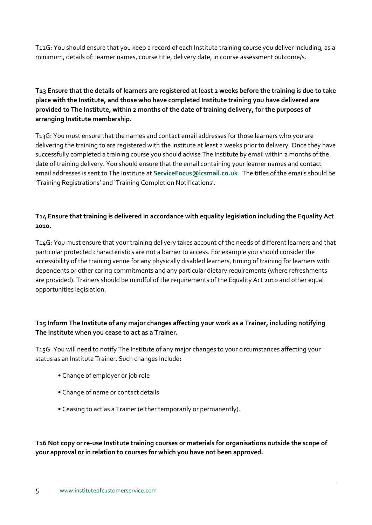T12G: You should ensure that you keep a record of each Institute training course you deliver including, as a minimum, details of: learner names, course title, delivery date, in course assessment outcome/s.

**T13 Ensure that the details of learners are registered at least 2 weeks before the training is due to take place with the Institute, and those who have completed Institute training you have delivered are provided to The Institute, within 2 months of the date of training delivery, for the purposes of arranging Institute membership.**

T13G: You must ensure that the names and contact email addresses for those learners who you are delivering the training to are registered with the Institute at least 2 weeks prior to delivery. Once they have successfully completed a training course you should advise The Institute by email within 2 months of the date of training delivery. You should ensure that the email containing your learner names and contact email addresses is sent to The Institute at **[ServiceFocus@icsmail.co.uk](mailto:ServiceFocus@icsmail.co.uk)**. The titles of the emails should be 'Training Registrations' and 'Training Completion Notifications'.

#### **T14 Ensure that training is delivered in accordance with equality legislation including the Equality Act 2010.**

T14G: You must ensure that your training delivery takes account of the needs of different learners and that particular protected characteristics are not a barrier to access. For example you should consider the accessibility of the training venue for any physically disabled learners, timing of training for learners with dependents or other caring commitments and any particular dietary requirements (where refreshments are provided). Trainers should be mindful of the requirements of the Equality Act 2010 and other equal opportunities legislation.

#### **T15 Inform The Institute of any major changes affecting your work as a Trainer, including notifying The Institute when you cease to act as a Trainer.**

T15G: You will need to notify The Institute of any major changes to your circumstances affecting your status as an Institute Trainer. Such changes include:

- Change of employer or job role
- Change of name or contact details
- Ceasing to act as a Trainer (either temporarily or permanently).

**T16 Not copy or re-use Institute training courses or materials for organisations outside the scope of your approval or in relation to courses for which you have not been approved.**